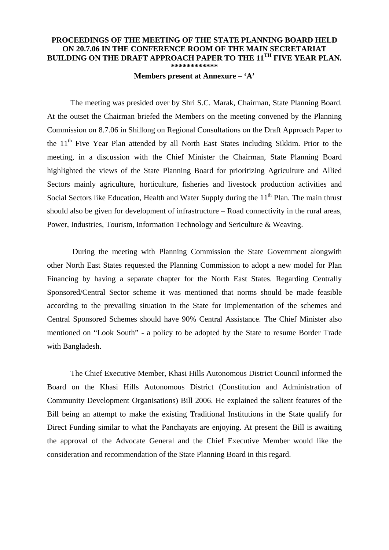## **PROCEEDINGS OF THE MEETING OF THE STATE PLANNING BOARD HELD ON 20.7.06 IN THE CONFERENCE ROOM OF THE MAIN SECRETARIAT BUILDING ON THE DRAFT APPROACH PAPER TO THE 11TH FIVE YEAR PLAN. \*\*\*\*\*\*\*\*\*\*\*\***

## **Members present at Annexure – 'A'**

 The meeting was presided over by Shri S.C. Marak, Chairman, State Planning Board. At the outset the Chairman briefed the Members on the meeting convened by the Planning Commission on 8.7.06 in Shillong on Regional Consultations on the Draft Approach Paper to the 11<sup>th</sup> Five Year Plan attended by all North East States including Sikkim. Prior to the meeting, in a discussion with the Chief Minister the Chairman, State Planning Board highlighted the views of the State Planning Board for prioritizing Agriculture and Allied Sectors mainly agriculture, horticulture, fisheries and livestock production activities and Social Sectors like Education, Health and Water Supply during the 11<sup>th</sup> Plan. The main thrust should also be given for development of infrastructure – Road connectivity in the rural areas, Power, Industries, Tourism, Information Technology and Sericulture & Weaving.

 During the meeting with Planning Commission the State Government alongwith other North East States requested the Planning Commission to adopt a new model for Plan Financing by having a separate chapter for the North East States. Regarding Centrally Sponsored/Central Sector scheme it was mentioned that norms should be made feasible according to the prevailing situation in the State for implementation of the schemes and Central Sponsored Schemes should have 90% Central Assistance. The Chief Minister also mentioned on "Look South" - a policy to be adopted by the State to resume Border Trade with Bangladesh.

 The Chief Executive Member, Khasi Hills Autonomous District Council informed the Board on the Khasi Hills Autonomous District (Constitution and Administration of Community Development Organisations) Bill 2006. He explained the salient features of the Bill being an attempt to make the existing Traditional Institutions in the State qualify for Direct Funding similar to what the Panchayats are enjoying. At present the Bill is awaiting the approval of the Advocate General and the Chief Executive Member would like the consideration and recommendation of the State Planning Board in this regard.